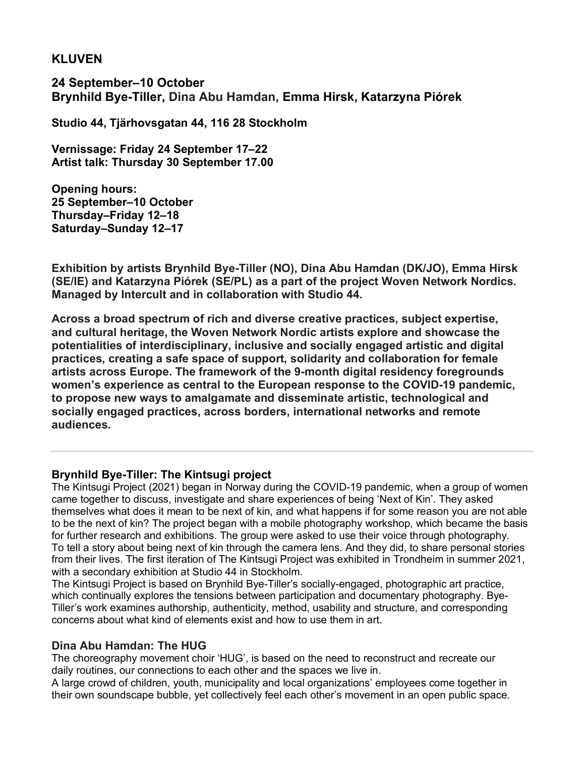# **KLUVEN**

**24 September–10 October Brynhild Bye-Tiller, Dina Abu Hamdan, Emma Hirsk, Katarzyna Piórek**

**Studio 44, Tjärhovsgatan 44, 116 28 Stockholm**

**Vernissage: Friday 24 September 17–22 Artist talk: Thursday 30 September 17.00**

**Opening hours: 25 September–10 October Thursday–Friday 12–18 Saturday–Sunday 12–17**

**Exhibition by artists Brynhild Bye-Tiller (NO), Dina Abu Hamdan (DK/JO), Emma Hirsk (SE/IE) and Katarzyna Piórek (SE/PL) as a part of the project Woven Network Nordics. Managed by Intercult and in collaboration with Studio 44.**

**Across a broad spectrum of rich and diverse creative practices, subject expertise, and cultural heritage, the Woven Network Nordic artists explore and showcase the potentialities of interdisciplinary, inclusive and socially engaged artistic and digital practices, creating a safe space of support, solidarity and collaboration for female artists across Europe. The framework of the 9-month digital residency foregrounds women's experience as central to the European response to the COVID-19 pandemic, to propose new ways to amalgamate and disseminate artistic, technological and socially engaged practices, across borders, international networks and remote audiences.** 

# **Brynhild Bye-Tiller: The Kintsugi project**

The Kintsugi Project (2021) began in Norway during the COVID-19 pandemic, when a group of women came together to discuss, investigate and share experiences of being 'Next of Kin'. They asked themselves what does it mean to be next of kin, and what happens if for some reason you are not able to be the next of kin? The project began with a mobile photography workshop, which became the basis for further research and exhibitions. The group were asked to use their voice through photography. To tell a story about being next of kin through the camera lens. And they did, to share personal stories from their lives. The first iteration of The Kintsugi Project was exhibited in Trondheim in summer 2021, with a secondary exhibition at Studio 44 in Stockholm.

The Kintsugi Project is based on Brynhild Bye-Tiller's socially-engaged, photographic art practice, which continually explores the tensions between participation and documentary photography. Bye-Tiller's work examines authorship, authenticity, method, usability and structure, and corresponding concerns about what kind of elements exist and how to use them in art.

# **Dina Abu Hamdan: The HUG**

The choreography movement choir 'HUG', is based on the need to reconstruct and recreate our daily routines, our connections to each other and the spaces we live in.

A large crowd of children, youth, municipality and local organizations' employees come together in their own soundscape bubble, yet collectively feel each other's movement in an open public space.